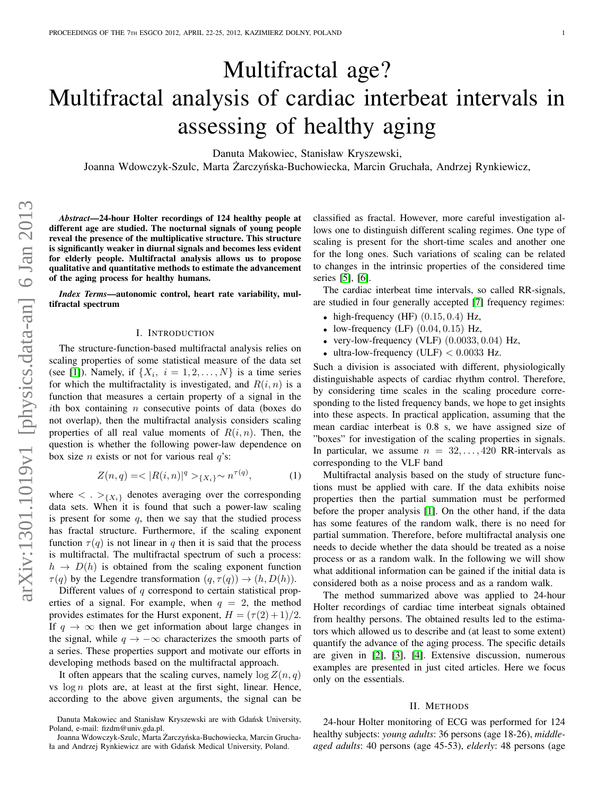# Multifractal age? Multifractal analysis of cardiac interbeat intervals in assessing of healthy aging

Danuta Makowiec, Stanisław Kryszewski,

Joanna Wdowczyk-Szulc, Marta Żarczyńska-Buchowiecka, Marcin Gruchała, Andrzej Rynkiewicz,

*Abstract*—24-hour Holter recordings of 124 healthy people at different age are studied. The nocturnal signals of young people reveal the presence of the multiplicative structure. This structure is significantly weaker in diurnal signals and becomes less evident for elderly people. Multifractal analysis allows us to propose qualitative and quantitative methods to estimate the advancement of the aging process for healthy humans.

*Index Terms*—autonomic control, heart rate variability, multifractal spectrum

#### I. INTRODUCTION

The structure-function-based multifractal analysis relies on scaling properties of some statistical measure of the data set (see [\[1\]](#page-2-0)). Namely, if  $\{X_i, i = 1, 2, ..., N\}$  is a time series for which the multifractality is investigated, and  $R(i, n)$  is a function that measures a certain property of a signal in the ith box containing  $n$  consecutive points of data (boxes do not overlap), then the multifractal analysis considers scaling properties of all real value moments of  $R(i, n)$ . Then, the question is whether the following power-law dependence on box size *n* exists or not for various real  $q$ 's:

$$
Z(n,q) = \langle |R(i,n)|^q \rangle_{\{X_i\}} \sim n^{\tau(q)},\tag{1}
$$

where  $\langle \cdot \rangle_{\{X_i\}}$  denotes averaging over the corresponding data sets. When it is found that such a power-law scaling is present for some  $q$ , then we say that the studied process has fractal structure. Furthermore, if the scaling exponent function  $\tau(q)$  is not linear in q then it is said that the process is multifractal. The multifractal spectrum of such a process:  $h \to D(h)$  is obtained from the scaling exponent function  $\tau(q)$  by the Legendre transformation  $(q, \tau(q)) \rightarrow (h, D(h))$ .

Different values of  $q$  correspond to certain statistical properties of a signal. For example, when  $q = 2$ , the method provides estimates for the Hurst exponent,  $H = (\tau(2) + 1)/2$ . If  $q \to \infty$  then we get information about large changes in the signal, while  $q \rightarrow -\infty$  characterizes the smooth parts of a series. These properties support and motivate our efforts in developing methods based on the multifractal approach.

It often appears that the scaling curves, namely  $\log Z(n, q)$ vs  $\log n$  plots are, at least at the first sight, linear. Hence, according to the above given arguments, the signal can be classified as fractal. However, more careful investigation allows one to distinguish different scaling regimes. One type of scaling is present for the short-time scales and another one for the long ones. Such variations of scaling can be related to changes in the intrinsic properties of the considered time series [\[5\]](#page-2-1), [\[6\]](#page-2-2).

The cardiac interbeat time intervals, so called RR-signals, are studied in four generally accepted [\[7\]](#page-2-3) frequency regimes:

- high-frequency (HF)  $(0.15, 0.4)$  Hz,
- low-frequency (LF)  $(0.04, 0.15)$  Hz,
- very-low-frequency (VLF)  $(0.0033, 0.04)$  Hz,
- ultra-low-frequency (ULF)  $< 0.0033$  Hz.

Such a division is associated with different, physiologically distinguishable aspects of cardiac rhythm control. Therefore, by considering time scales in the scaling procedure corresponding to the listed frequency bands, we hope to get insights into these aspects. In practical application, assuming that the mean cardiac interbeat is 0.8 s, we have assigned size of "boxes" for investigation of the scaling properties in signals. In particular, we assume  $n = 32, \ldots, 420$  RR-intervals as corresponding to the VLF band

Multifractal analysis based on the study of structure functions must be applied with care. If the data exhibits noise properties then the partial summation must be performed before the proper analysis [\[1\]](#page-2-0). On the other hand, if the data has some features of the random walk, there is no need for partial summation. Therefore, before multifractal analysis one needs to decide whether the data should be treated as a noise process or as a random walk. In the following we will show what additional information can be gained if the initial data is considered both as a noise process and as a random walk.

The method summarized above was applied to 24-hour Holter recordings of cardiac time interbeat signals obtained from healthy persons. The obtained results led to the estimators which allowed us to describe and (at least to some extent) quantify the advance of the aging process. The specific details are given in [\[2\]](#page-2-4), [\[3\]](#page-2-5), [\[4\]](#page-2-6). Extensive discussion, numerous examples are presented in just cited articles. Here we focus only on the essentials.

## II. METHODS

24-hour Holter monitoring of ECG was performed for 124 healthy subjects: *young adults*: 36 persons (age 18-26), *middleaged adults*: 40 persons (age 45-53), *elderly*: 48 persons (age

Danuta Makowiec and Stanisław Kryszewski are with Gdańsk University, Poland, e-mail: fizdm@univ.gda.pl.

Joanna Wdowczyk-Szulc, Marta Żarczyńska-Buchowiecka, Marcin Gruchała and Andrzej Rynkiewicz are with Gdańsk Medical University, Poland.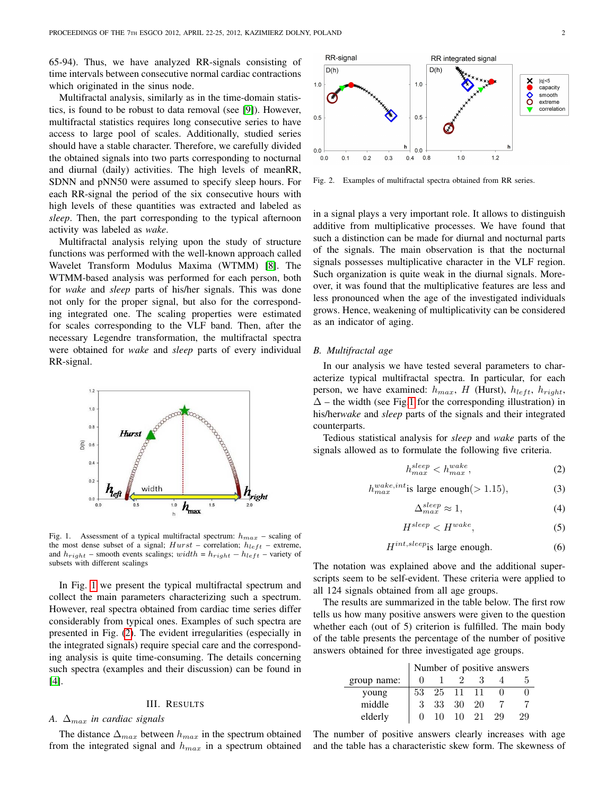65-94). Thus, we have analyzed RR-signals consisting of time intervals between consecutive normal cardiac contractions which originated in the sinus node.

Multifractal analysis, similarly as in the time-domain statistics, is found to be robust to data removal (see [\[9\]](#page-2-7)). However, multifractal statistics requires long consecutive series to have access to large pool of scales. Additionally, studied series should have a stable character. Therefore, we carefully divided the obtained signals into two parts corresponding to nocturnal and diurnal (daily) activities. The high levels of meanRR, SDNN and pNN50 were assumed to specify sleep hours. For each RR-signal the period of the six consecutive hours with high levels of these quantities was extracted and labeled as *sleep*. Then, the part corresponding to the typical afternoon activity was labeled as *wake*.

Multifractal analysis relying upon the study of structure functions was performed with the well-known approach called Wavelet Transform Modulus Maxima (WTMM) [\[8\]](#page-2-8). The WTMM-based analysis was performed for each person, both for *wake* and *sleep* parts of his/her signals. This was done not only for the proper signal, but also for the corresponding integrated one. The scaling properties were estimated for scales corresponding to the VLF band. Then, after the necessary Legendre transformation, the multifractal spectra were obtained for *wake* and *sleep* parts of every individual RR-signal.



<span id="page-1-0"></span>Fig. 1. Assessment of a typical multifractal spectrum:  $h_{max}$  – scaling of the most dense subset of a signal;  $Hurst -$  correlation;  $h_{left}$  – extreme, and  $h_{right}$  – smooth events scalings; width =  $h_{right}$  –  $h_{left}$  – variety of subsets with different scalings

In Fig. [1](#page-1-0) we present the typical multifractal spectrum and collect the main parameters characterizing such a spectrum. However, real spectra obtained from cardiac time series differ considerably from typical ones. Examples of such spectra are presented in Fig. [\(2\)](#page-1-1). The evident irregularities (especially in the integrated signals) require special care and the corresponding analysis is quite time-consuming. The details concerning such spectra (examples and their discussion) can be found in [\[4\]](#page-2-6).

## III. RESULTS

# *A.*  $\Delta_{max}$  *in cardiac signals*

The distance  $\Delta_{max}$  between  $h_{max}$  in the spectrum obtained from the integrated signal and  $h_{max}$  in a spectrum obtained



<span id="page-1-1"></span>Fig. 2. Examples of multifractal spectra obtained from RR series.

in a signal plays a very important role. It allows to distinguish additive from multiplicative processes. We have found that such a distinction can be made for diurnal and nocturnal parts of the signals. The main observation is that the nocturnal signals possesses multiplicative character in the VLF region. Such organization is quite weak in the diurnal signals. Moreover, it was found that the multiplicative features are less and less pronounced when the age of the investigated individuals grows. Hence, weakening of multiplicativity can be considered as an indicator of aging.

## *B. Multifractal age*

In our analysis we have tested several parameters to characterize typical multifractal spectra. In particular, for each person, we have examined:  $h_{max}$ , H (Hurst),  $h_{left}$ ,  $h_{right}$ ,  $\Delta$  – the width (see Fig[.1](#page-1-0) for the corresponding illustration) in his/her*wake* and *sleep* parts of the signals and their integrated counterparts.

Tedious statistical analysis for *sleep* and *wake* parts of the signals allowed as to formulate the following five criteria.

<span id="page-1-2"></span>
$$
h_{max}^{sleep} < h_{max}^{wake}, \tag{2}
$$

$$
h_{max}^{wake, int}
$$
 is large enough(>1.15), (3)

$$
\Delta_{max}^{sleep} \approx 1,\tag{4}
$$

$$
H^{sleep} < H^{wake}, \tag{5}
$$

<span id="page-1-3"></span>
$$
H^{int, sleep} \text{is large enough.} \tag{6}
$$

The notation was explained above and the additional superscripts seem to be self-evident. These criteria were applied to all 124 signals obtained from all age groups.

The results are summarized in the table below. The first row tells us how many positive answers were given to the question whether each (out of 5) criterion is fulfilled. The main body of the table presents the percentage of the number of positive answers obtained for three investigated age groups.

|             | Number of positive answers |    |          |    |    |    |
|-------------|----------------------------|----|----------|----|----|----|
| group name: |                            |    |          |    |    |    |
| young       | 53                         |    | 25 11 11 |    |    |    |
| middle      | 3                          | 33 | -30      | 20 |    |    |
| elderly     |                            | 10 | $10^{-}$ | 21 | 29 | 29 |

The number of positive answers clearly increases with age and the table has a characteristic skew form. The skewness of